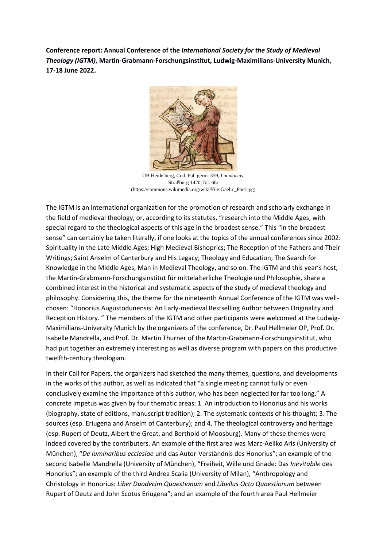**Conference report: Annual Conference of the** *International Society for the Study of Medieval Theology (IGTM)***, Martin-Grabmann-Forschungsinstitut, Ludwig-Maximilians-University Munich, 17-18 June 2022.**



UB Heidelberg, Cod. Pal. germ. 359, *Lucidarius,*  Straßburg 1420, fol. 66r (https://commons.wikimedia.org/wiki/File:Gaelic\_Poet.jpg)

The IGTM is an international organization for the promotion of research and scholarly exchange in the field of medieval theology, or, according to its statutes, "research into the Middle Ages, with special regard to the theological aspects of this age in the broadest sense." This "in the broadest sense" can certainly be taken literally, if one looks at the topics of the annual conferences since 2002: Spirituality in the Late Middle Ages; High Medieval Bishoprics; The Reception of the Fathers and Their Writings; Saint Anselm of Canterbury and His Legacy; Theology and Education; The Search for Knowledge in the Middle Ages, Man in Medieval Theology, and so on. The IGTM and this year's host, the Martin-Grabmann-Forschungsinstitut für mittelalterliche Theologie und Philosophie, share a combined interest in the historical and systematic aspects of the study of medieval theology and philosophy. Considering this, the theme for the nineteenth Annual Conference of the IGTM was wellchosen: "Honorius Augustodunensis: An Early-medieval Bestselling Author between Originality and Reception History. " The members of the IGTM and other participants were welcomed at the Ludwig-Maximilians-University Munich by the organizers of the conference, Dr. Paul Hellmeier OP, Prof. Dr. Isabelle Mandrella, and Prof. Dr. Martin Thurner of the Martin-Grabmann-Forschungsinstitut, who had put together an extremely interesting as well as diverse program with papers on this productive twelfth-century theologian.

In their Call for Papers, the organizers had sketched the many themes, questions, and developments in the works of this author, as well as indicated that "a single meeting cannot fully or even conclusively examine the importance of this author, who has been neglected for far too long." A concrete impetus was given by four thematic areas: 1. An introduction to Honorius and his works (biography, state of editions, manuscript tradition); 2. The systematic contexts of his thought; 3. The sources (esp. Eriugena and Anselm of Canterbury); and 4. The theological controversy and heritage (esp. Rupert of Deutz, Albert the Great, and Berthold of Moosburg). Many of these themes were indeed covered by the contributers. An example of the first area was Marc-Aeilko Aris (University of München), "*De luminaribus ecclesiae* und das Autor-Verständnis des Honorius"; an example of the second Isabelle Mandrella (University of München), "Freiheit, Wille und Gnade: Das *Inevitabile* des Honorius"; an example of the third Andrea Scalia (University of Milan), "Anthropology and Christology in Honorius: *Liber Duodecim Quaestionum* and *Libellus Octo Quaestionum* between Rupert of Deutz and John Scotus Eriugena"; and an example of the fourth area Paul Hellmeier